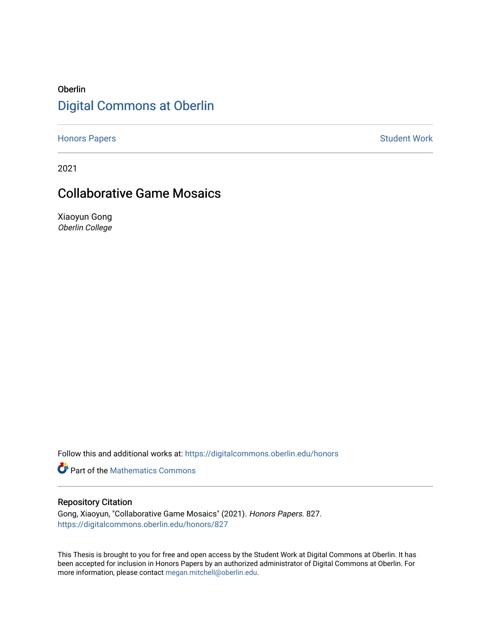## Oberlin [Digital Commons at Oberlin](https://digitalcommons.oberlin.edu/)

[Honors Papers](https://digitalcommons.oberlin.edu/honors) **Student Work** 

2021

## Collaborative Game Mosaics

Xiaoyun Gong Oberlin College

Follow this and additional works at: [https://digitalcommons.oberlin.edu/honors](https://digitalcommons.oberlin.edu/honors?utm_source=digitalcommons.oberlin.edu%2Fhonors%2F827&utm_medium=PDF&utm_campaign=PDFCoverPages) 

**Part of the [Mathematics Commons](http://network.bepress.com/hgg/discipline/174?utm_source=digitalcommons.oberlin.edu%2Fhonors%2F827&utm_medium=PDF&utm_campaign=PDFCoverPages)** 

### Repository Citation

Gong, Xiaoyun, "Collaborative Game Mosaics" (2021). Honors Papers. 827. [https://digitalcommons.oberlin.edu/honors/827](https://digitalcommons.oberlin.edu/honors/827?utm_source=digitalcommons.oberlin.edu%2Fhonors%2F827&utm_medium=PDF&utm_campaign=PDFCoverPages) 

This Thesis is brought to you for free and open access by the Student Work at Digital Commons at Oberlin. It has been accepted for inclusion in Honors Papers by an authorized administrator of Digital Commons at Oberlin. For more information, please contact [megan.mitchell@oberlin.edu.](mailto:megan.mitchell@oberlin.edu)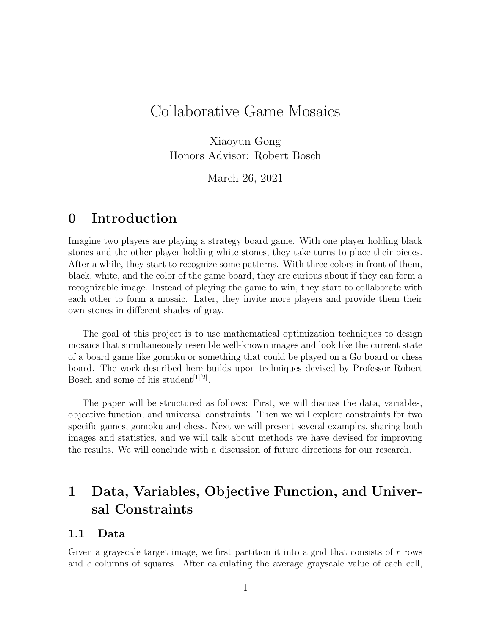# Collaborative Game Mosaics

Xiaoyun Gong Honors Advisor: Robert Bosch

March 26, 2021

## 0 Introduction

Imagine two players are playing a strategy board game. With one player holding black stones and the other player holding white stones, they take turns to place their pieces. After a while, they start to recognize some patterns. With three colors in front of them, black, white, and the color of the game board, they are curious about if they can form a recognizable image. Instead of playing the game to win, they start to collaborate with each other to form a mosaic. Later, they invite more players and provide them their own stones in different shades of gray.

The goal of this project is to use mathematical optimization techniques to design mosaics that simultaneously resemble well-known images and look like the current state of a board game like gomoku or something that could be played on a Go board or chess board. The work described here builds upon techniques devised by Professor Robert Bosch and some of his student<sup>[1][2]</sup>.

The paper will be structured as follows: First, we will discuss the data, variables, objective function, and universal constraints. Then we will explore constraints for two specific games, gomoku and chess. Next we will present several examples, sharing both images and statistics, and we will talk about methods we have devised for improving the results. We will conclude with a discussion of future directions for our research.

# 1 Data, Variables, Objective Function, and Universal Constraints

### 1.1 Data

Given a grayscale target image, we first partition it into a grid that consists of  $r$  rows and c columns of squares. After calculating the average grayscale value of each cell,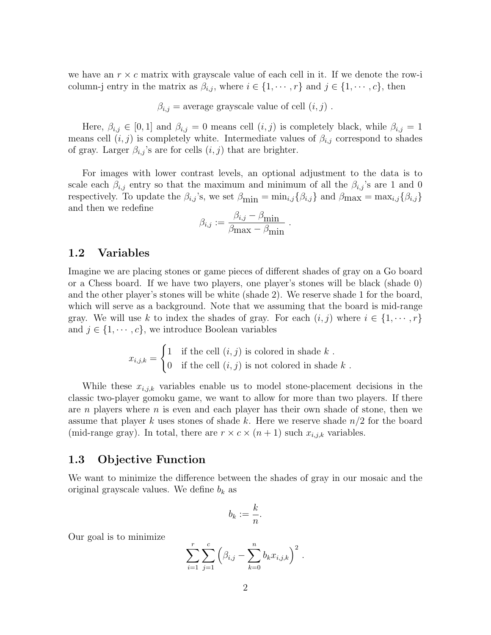we have an  $r \times c$  matrix with grayscale value of each cell in it. If we denote the row-i column-j entry in the matrix as  $\beta_{i,j}$ , where  $i \in \{1, \dots, r\}$  and  $j \in \{1, \dots, c\}$ , then

 $\beta_{i,j}$  = average grayscale value of cell  $(i, j)$ .

Here,  $\beta_{i,j} \in [0,1]$  and  $\beta_{i,j} = 0$  means cell  $(i,j)$  is completely black, while  $\beta_{i,j} = 1$ means cell  $(i, j)$  is completely white. Intermediate values of  $\beta_{i,j}$  correspond to shades of gray. Larger  $\beta_{i,j}$ 's are for cells  $(i, j)$  that are brighter.

For images with lower contrast levels, an optional adjustment to the data is to scale each  $\beta_{i,j}$  entry so that the maximum and minimum of all the  $\beta_{i,j}$ 's are 1 and 0 respectively. To update the  $\beta_{i,j}$ 's, we set  $\beta_{\min} = \min_{i,j} {\beta_{i,j}}$  and  $\beta_{\max} = \max_{i,j} {\beta_{i,j}}$ and then we redefine

$$
\beta_{i,j} := \frac{\beta_{i,j} - \beta_{\min}}{\beta_{\max} - \beta_{\min}}.
$$

### 1.2 Variables

Imagine we are placing stones or game pieces of different shades of gray on a Go board or a Chess board. If we have two players, one player's stones will be black (shade 0) and the other player's stones will be white (shade 2). We reserve shade 1 for the board, which will serve as a background. Note that we assuming that the board is mid-range gray. We will use k to index the shades of gray. For each  $(i, j)$  where  $i \in \{1, \dots, r\}$ and  $j \in \{1, \dots, c\}$ , we introduce Boolean variables

$$
x_{i,j,k} = \begin{cases} 1 & \text{if the cell } (i,j) \text{ is colored in shade } k \\ 0 & \text{if the cell } (i,j) \text{ is not colored in shade } k \end{cases}.
$$

While these  $x_{i,j,k}$  variables enable us to model stone-placement decisions in the classic two-player gomoku game, we want to allow for more than two players. If there are  $n$  players where  $n$  is even and each player has their own shade of stone, then we assume that player k uses stones of shade k. Here we reserve shade  $n/2$  for the board (mid-range gray). In total, there are  $r \times c \times (n+1)$  such  $x_{i,j,k}$  variables.

### 1.3 Objective Function

We want to minimize the difference between the shades of gray in our mosaic and the original grayscale values. We define  $b_k$  as

$$
b_k := \frac{k}{n}.
$$

Our goal is to minimize

$$
\sum_{i=1}^r \sum_{j=1}^c \left( \beta_{i,j} - \sum_{k=0}^n b_k x_{i,j,k} \right)^2.
$$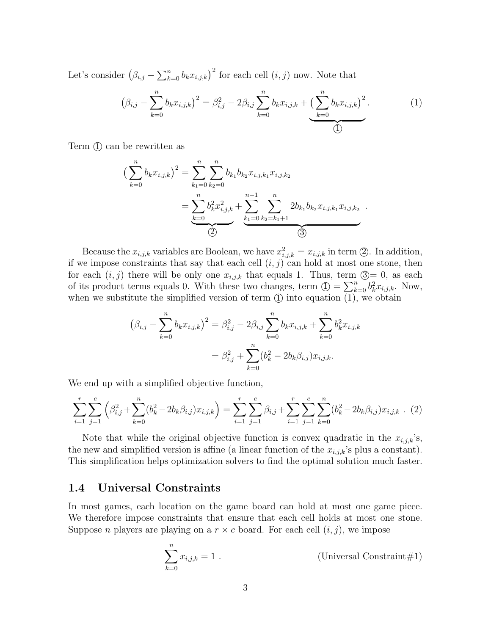Let's consider  $(\beta_{i,j} - \sum_{k=0}^n b_k x_{i,j,k})^2$  for each cell  $(i, j)$  now. Note that

$$
(\beta_{i,j} - \sum_{k=0}^{n} b_k x_{i,j,k})^2 = \beta_{i,j}^2 - 2\beta_{i,j} \sum_{k=0}^{n} b_k x_{i,j,k} + \underbrace{\left(\sum_{k=0}^{n} b_k x_{i,j,k}\right)^2}_{\textcircled{1}}.
$$
 (1)

Term  $(1)$  can be rewritten as

$$
\left(\sum_{k=0}^{n} b_{k}x_{i,j,k}\right)^{2} = \sum_{k_{1}=0}^{n} \sum_{k_{2}=0}^{n} b_{k_{1}}b_{k_{2}}x_{i,j,k_{1}}x_{i,j,k_{2}}\n= \underbrace{\sum_{k=0}^{n} b_{k}^{2}x_{i,j,k}^{2}}_{\text{(2)}} + \underbrace{\sum_{k_{1}=0}^{n-1} \sum_{k_{2}=k_{1}+1}^{n} 2b_{k_{1}}b_{k_{2}}x_{i,j,k_{1}}x_{i,j,k_{2}}}_{\text{(3)}}.
$$

Because the  $x_{i,j,k}$  variables are Boolean, we have  $x_{i,j,k}^2 = x_{i,j,k}$  in term  $\circled{2}$ . In addition, if we impose constraints that say that each cell  $(i, j)$  can hold at most one stone, then for each  $(i, j)$  there will be only one  $x_{i,j,k}$  that equals 1. Thus, term  $\mathcal{D} = 0$ , as each of its product terms equals 0. With these two changes, term  $\mathbb{O} = \sum_{k=0}^{n} b_k^2 x_{i,j,k}$ . Now, when we substitute the simplified version of term  $\overline{1}$  into equation  $\overline{1}$ , we obtain

$$
(\beta_{i,j} - \sum_{k=0}^{n} b_k x_{i,j,k})^2 = \beta_{i,j}^2 - 2\beta_{i,j} \sum_{k=0}^{n} b_k x_{i,j,k} + \sum_{k=0}^{n} b_k^2 x_{i,j,k}
$$

$$
= \beta_{i,j}^2 + \sum_{k=0}^{n} (b_k^2 - 2b_k \beta_{i,j}) x_{i,j,k}.
$$

We end up with a simplified objective function,

$$
\sum_{i=1}^{r} \sum_{j=1}^{c} \left( \beta_{i,j}^{2} + \sum_{k=0}^{n} (b_{k}^{2} - 2b_{k}\beta_{i,j}) x_{i,j,k} \right) = \sum_{i=1}^{r} \sum_{j=1}^{c} \beta_{i,j} + \sum_{i=1}^{r} \sum_{j=1}^{c} \sum_{k=0}^{n} (b_{k}^{2} - 2b_{k}\beta_{i,j}) x_{i,j,k} . (2)
$$

Note that while the original objective function is convex quadratic in the  $x_{i,j,k}$ 's, the new and simplified version is affine (a linear function of the  $x_{i,j,k}$ 's plus a constant). This simplification helps optimization solvers to find the optimal solution much faster.

#### 1.4 Universal Constraints

In most games, each location on the game board can hold at most one game piece. We therefore impose constraints that ensure that each cell holds at most one stone. Suppose *n* players are playing on a  $r \times c$  board. For each cell  $(i, j)$ , we impose

$$
\sum_{k=0}^{n} x_{i,j,k} = 1.
$$
 (Universal Constraint#1)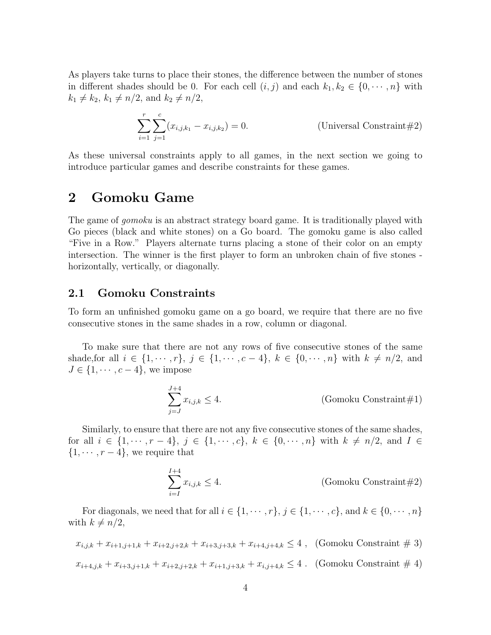As players take turns to place their stones, the difference between the number of stones in different shades should be 0. For each cell  $(i, j)$  and each  $k_1, k_2 \in \{0, \dots, n\}$  with  $k_1 \neq k_2, k_1 \neq n/2$ , and  $k_2 \neq n/2$ ,

$$
\sum_{i=1}^{r} \sum_{j=1}^{c} (x_{i,j,k_1} - x_{i,j,k_2}) = 0.
$$
 (Universal Constraint#2)

As these universal constraints apply to all games, in the next section we going to introduce particular games and describe constraints for these games.

## 2 Gomoku Game

The game of *gomoku* is an abstract strategy board game. It is traditionally played with Go pieces (black and white stones) on a Go board. The gomoku game is also called "Five in a Row." Players alternate turns placing a stone of their color on an empty intersection. The winner is the first player to form an unbroken chain of five stones horizontally, vertically, or diagonally.

### 2.1 Gomoku Constraints

To form an unfinished gomoku game on a go board, we require that there are no five consecutive stones in the same shades in a row, column or diagonal.

To make sure that there are not any rows of five consecutive stones of the same shade, for all  $i \in \{1, \dots, r\}$ ,  $j \in \{1, \dots, c-4\}$ ,  $k \in \{0, \dots, n\}$  with  $k \neq n/2$ , and  $J \in \{1, \cdots, c-4\}$ , we impose

$$
\sum_{j=J}^{J+4} x_{i,j,k} \le 4.
$$
 (Gomoku Constraint#1)

Similarly, to ensure that there are not any five consecutive stones of the same shades, for all  $i \in \{1, \dots, r-4\}, j \in \{1, \dots, c\}, k \in \{0, \dots, n\}$  with  $k \neq n/2$ , and  $I \in$  $\{1, \cdots, r-4\}$ , we require that

$$
\sum_{i=1}^{I+4} x_{i,j,k} \le 4.
$$
 (Gomoku Constraint#2)

For diagonals, we need that for all  $i \in \{1, \cdots, r\}$ ,  $j \in \{1, \cdots, c\}$ , and  $k \in \{0, \cdots, n\}$ with  $k \neq n/2$ ,

$$
x_{i,j,k} + x_{i+1,j+1,k} + x_{i+2,j+2,k} + x_{i+3,j+3,k} + x_{i+4,j+4,k} \le 4
$$
, (Gomoku Constant # 3)

$$
x_{i+4,j,k} + x_{i+3,j+1,k} + x_{i+2,j+2,k} + x_{i+1,j+3,k} + x_{i,j+4,k} \le 4
$$
. (Gomoku Constant # 4)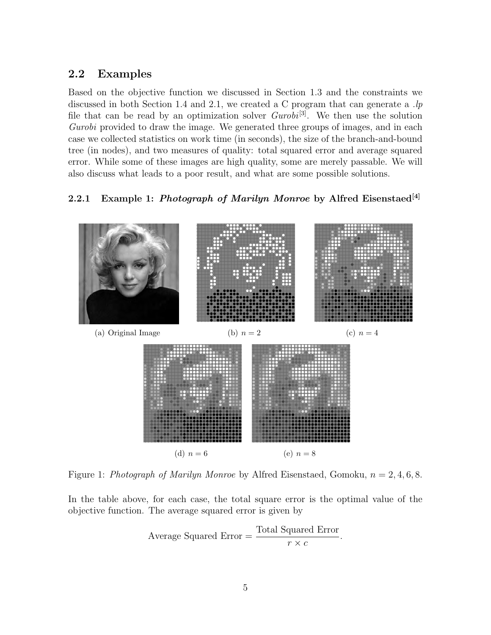### 2.2 Examples

Based on the objective function we discussed in Section 1.3 and the constraints we discussed in both Section 1.4 and 2.1, we created a C program that can generate a  $\mu$ file that can be read by an optimization solver  $Gurobi^{[3]}$ . We then use the solution Gurobi provided to draw the image. We generated three groups of images, and in each case we collected statistics on work time (in seconds), the size of the branch-and-bound tree (in nodes), and two measures of quality: total squared error and average squared error. While some of these images are high quality, some are merely passable. We will also discuss what leads to a poor result, and what are some possible solutions.

### 2.2.1 Example 1: Photograph of Marilyn Monroe by Alfred Eisenstaed<sup>[4]</sup>



Figure 1: Photograph of Marilyn Monroe by Alfred Eisenstaed, Gomoku,  $n = 2, 4, 6, 8$ .

In the table above, for each case, the total square error is the optimal value of the objective function. The average squared error is given by

Average Squared Error = 
$$
\frac{\text{Total Squared Error}}{r \times c}.
$$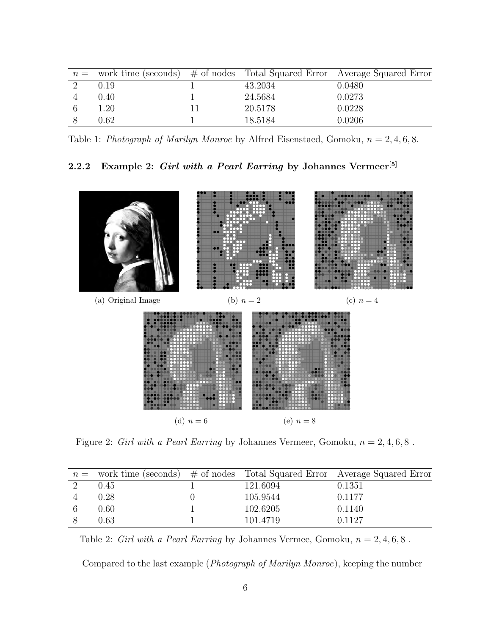| $n =$ work time (seconds) $\#$ of nodes Total Squared Error Average Squared Error |         |        |
|-----------------------------------------------------------------------------------|---------|--------|
| 0.19                                                                              | 43.2034 | 0.0480 |
| 0.40                                                                              | 24.5684 | 0.0273 |
| 1.20                                                                              | 20.5178 | 0.0228 |
| $0.62\,$                                                                          | 18.5184 | 0.0206 |

Table 1: Photograph of Marilyn Monroe by Alfred Eisenstaed, Gomoku,  $n = 2, 4, 6, 8$ .

### 2.2.2 Example 2: Girl with a Pearl Earring by Johannes Vermeer<sup>[5]</sup>



Figure 2: Girl with a Pearl Earring by Johannes Vermeer, Gomoku,  $n = 2, 4, 6, 8$ .

|      |          | $n =$ work time (seconds) # of nodes Total Squared Error Average Squared Error |
|------|----------|--------------------------------------------------------------------------------|
| 0.45 | 121.6094 | 0.1351                                                                         |
| 0.28 | 105.9544 | 0.1177                                                                         |
| 0.60 | 102.6205 | 0.1140                                                                         |
| 0.63 | 101.4719 | 0.1127                                                                         |

Table 2: Girl with a Pearl Earring by Johannes Vermee, Gomoku,  $n = 2, 4, 6, 8$ .

Compared to the last example (Photograph of Marilyn Monroe), keeping the number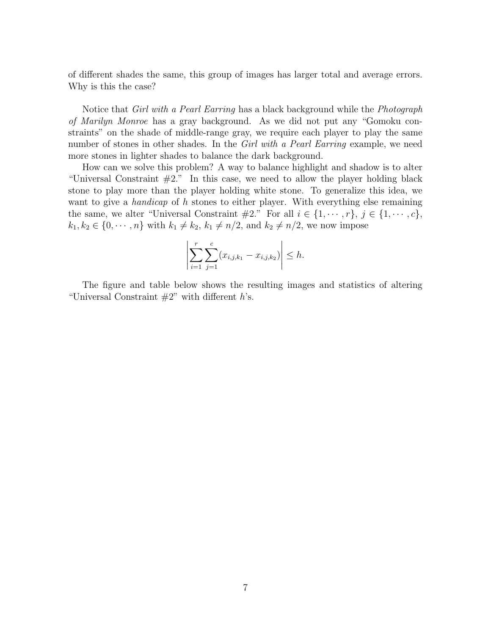of different shades the same, this group of images has larger total and average errors. Why is this the case?

Notice that *Girl with a Pearl Earring* has a black background while the *Photograph* of Marilyn Monroe has a gray background. As we did not put any "Gomoku constraints" on the shade of middle-range gray, we require each player to play the same number of stones in other shades. In the *Girl with a Pearl Earring* example, we need more stones in lighter shades to balance the dark background.

How can we solve this problem? A way to balance highlight and shadow is to alter "Universal Constraint  $\#2$ ." In this case, we need to allow the player holding black stone to play more than the player holding white stone. To generalize this idea, we want to give a *handicap* of h stones to either player. With everything else remaining the same, we alter "Universal Constraint  $\#2$ ." For all  $i \in \{1, \dots, r\}$ ,  $j \in \{1, \dots, c\}$ ,  $k_1, k_2 \in \{0, \dots, n\}$  with  $k_1 \neq k_2, k_1 \neq n/2$ , and  $k_2 \neq n/2$ , we now impose

$$
\left| \sum_{i=1}^{r} \sum_{j=1}^{c} (x_{i,j,k_1} - x_{i,j,k_2}) \right| \leq h.
$$

The figure and table below shows the resulting images and statistics of altering "Universal Constraint  $#2"$ " with different h's.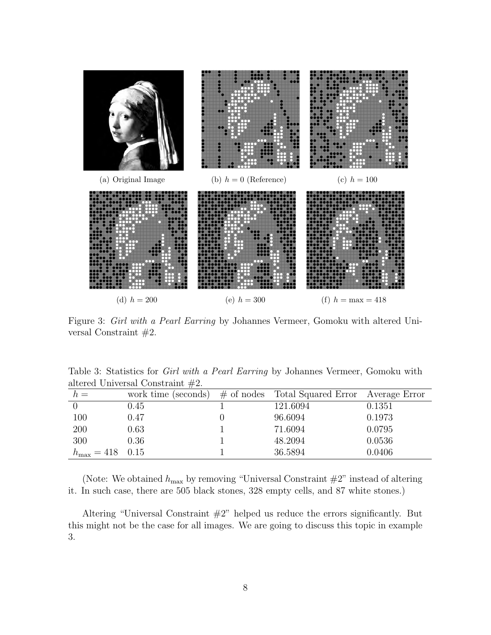

Figure 3: Girl with a Pearl Earring by Johannes Vermeer, Gomoku with altered Universal Constraint #2.

|                                     |  |  |  | Table 3: Statistics for <i>Girl with a Pearl Earring</i> by Johannes Vermeer, Gomoku with |  |  |
|-------------------------------------|--|--|--|-------------------------------------------------------------------------------------------|--|--|
| altered Universal Constraint $#2$ . |  |  |  |                                                                                           |  |  |

| $h =$                       | work time (seconds) | $#$ of nodes | Total Squared Error Average Error |        |
|-----------------------------|---------------------|--------------|-----------------------------------|--------|
|                             | $0.45\,$            |              | 121.6094                          | 0.1351 |
| 100                         | 0.47                |              | 96.6094                           | 0.1973 |
| 200                         | 0.63                |              | 71.6094                           | 0.0795 |
| 300                         | 0.36                |              | 48.2094                           | 0.0536 |
| $h_{\text{max}} = 418$ 0.15 |                     |              | 36.5894                           | 0.0406 |

(Note: We obtained  $h_{\text{max}}$  by removing "Universal Constraint  $\#2$ " instead of altering it. In such case, there are 505 black stones, 328 empty cells, and 87 white stones.)

Altering "Universal Constraint  $#2$ " helped us reduce the errors significantly. But this might not be the case for all images. We are going to discuss this topic in example 3.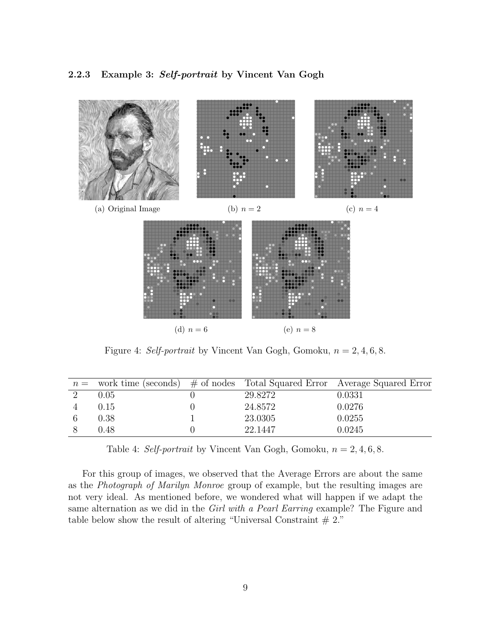

Figure 4: Self-portrait by Vincent Van Gogh, Gomoku,  $n = 2, 4, 6, 8$ .

|          |         | $n =$ work time (seconds) $\#$ of nodes Total Squared Error Average Squared Error |
|----------|---------|-----------------------------------------------------------------------------------|
| $0.05\,$ | 29.8272 | 0.0331                                                                            |
| 0.15     | 24.8572 | 0.0276                                                                            |
| 0.38     | 23.0305 | 0.0255                                                                            |
| 0.48     | 22.1447 | 0.0245                                                                            |

Table 4: Self-portrait by Vincent Van Gogh, Gomoku,  $n = 2, 4, 6, 8$ .

For this group of images, we observed that the Average Errors are about the same as the Photograph of Marilyn Monroe group of example, but the resulting images are not very ideal. As mentioned before, we wondered what will happen if we adapt the same alternation as we did in the Girl with a Pearl Earring example? The Figure and table below show the result of altering "Universal Constraint  $# 2."$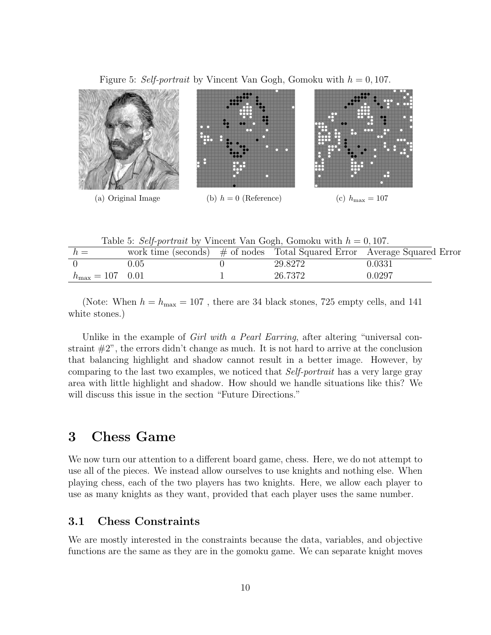Figure 5: Self-portrait by Vincent Van Gogh, Gomoku with  $h = 0, 107$ .



Table 5: Self-portrait by Vincent Van Gogh, Gomoku with  $h = 0, 107$ .

| $h =$                       | work time (seconds) |         | # of nodes Total Squared Error Average Squared Error |
|-----------------------------|---------------------|---------|------------------------------------------------------|
|                             | 0.05                | 29.8272 | 0.0331                                               |
| $h_{\text{max}} = 107$ 0.01 |                     | 26.7372 | 0.0297                                               |

(Note: When  $h = h_{\text{max}} = 107$ , there are 34 black stones, 725 empty cells, and 141 white stones.)

Unlike in the example of *Girl with a Pearl Earring*, after altering "universal constraint  $\#2$ ", the errors didn't change as much. It is not hard to arrive at the conclusion that balancing highlight and shadow cannot result in a better image. However, by comparing to the last two examples, we noticed that Self-portrait has a very large gray area with little highlight and shadow. How should we handle situations like this? We will discuss this issue in the section "Future Directions."

## 3 Chess Game

We now turn our attention to a different board game, chess. Here, we do not attempt to use all of the pieces. We instead allow ourselves to use knights and nothing else. When playing chess, each of the two players has two knights. Here, we allow each player to use as many knights as they want, provided that each player uses the same number.

### 3.1 Chess Constraints

We are mostly interested in the constraints because the data, variables, and objective functions are the same as they are in the gomoku game. We can separate knight moves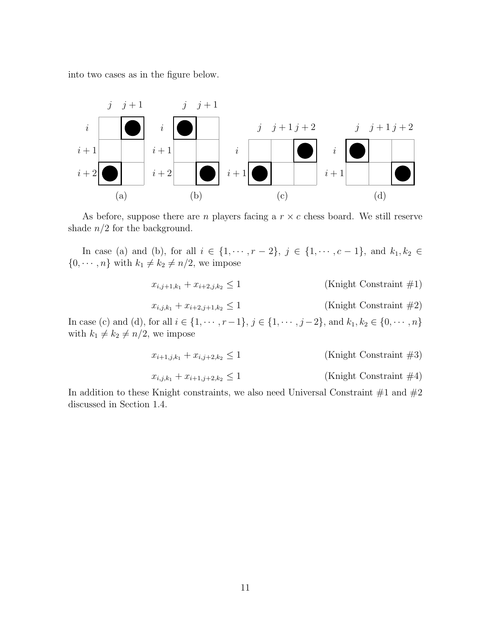into two cases as in the figure below.



As before, suppose there are *n* players facing a  $r \times c$  chess board. We still reserve shade  $n/2$  for the background.

In case (a) and (b), for all  $i \in \{1, \dots, r-2\}$ ,  $j \in \{1, \dots, c-1\}$ , and  $k_1, k_2 \in$  $\{0, \dots, n\}$  with  $k_1 \neq k_2 \neq n/2$ , we impose

$$
x_{i,j+1,k_1} + x_{i+2,j,k_2} \le 1 \tag{Knight Constant #1}
$$

$$
x_{i,j,k_1} + x_{i+2,j+1,k_2} \le 1 \tag{Knight Constant #2}
$$

In case (c) and (d), for all  $i \in \{1, \dots, r-1\}$ ,  $j \in \{1, \dots, j-2\}$ , and  $k_1, k_2 \in \{0, \dots, n\}$ with  $k_1 \neq k_2 \neq n/2$ , we impose

$$
x_{i+1,j,k_1} + x_{i,j+2,k_2} \le 1 \tag{Knight Constant #3}
$$

$$
x_{i,j,k_1} + x_{i+1,j+2,k_2} \le 1 \tag{Knight Constant #4}
$$

In addition to these Knight constraints, we also need Universal Constraint  $#1$  and  $#2$ discussed in Section 1.4.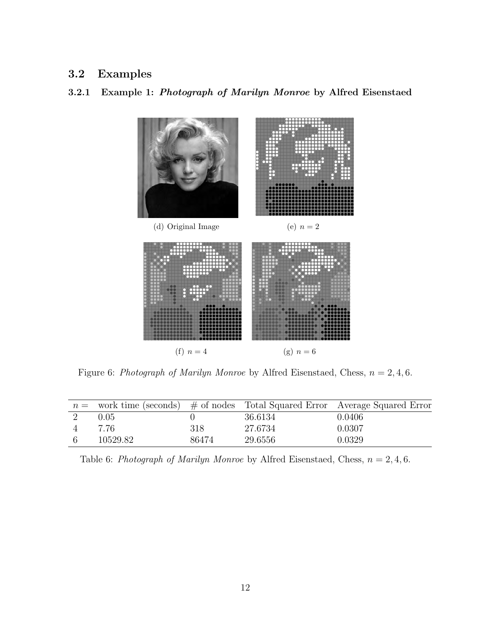### 3.2 Examples

### 3.2.1 Example 1: Photograph of Marilyn Monroe by Alfred Eisenstaed



Figure 6: Photograph of Marilyn Monroe by Alfred Eisenstaed, Chess,  $n = 2, 4, 6$ .

|          |       |         | $n =$ work time (seconds) $\#$ of nodes Total Squared Error Average Squared Error |
|----------|-------|---------|-----------------------------------------------------------------------------------|
| 0.05     |       | 36.6134 | 0.0406                                                                            |
| 7.76     | 318   | 27.6734 | 0.0307                                                                            |
| 10529.82 | 86474 | 29.6556 | 0.0329                                                                            |

Table 6: Photograph of Marilyn Monroe by Alfred Eisenstaed, Chess,  $n = 2, 4, 6$ .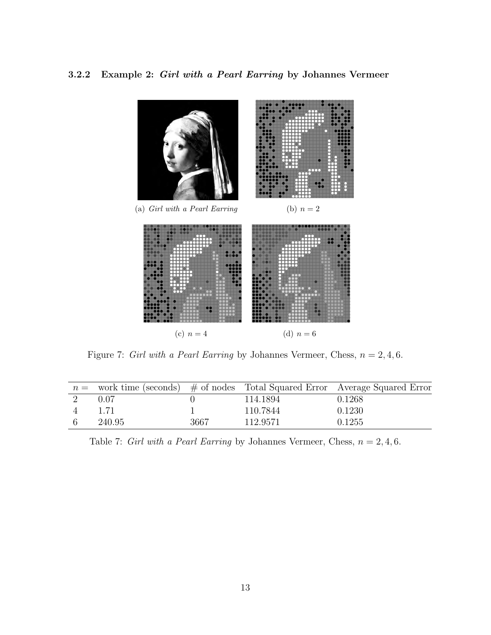3.2.2 Example 2: Girl with a Pearl Earring by Johannes Vermeer



Figure 7: Girl with a Pearl Earring by Johannes Vermeer, Chess,  $n = 2, 4, 6$ .

|   |        |      |          | $n =$ work time (seconds) # of nodes Total Squared Error Average Squared Error |
|---|--------|------|----------|--------------------------------------------------------------------------------|
|   | 0.07   |      | 114.1894 | 0.1268                                                                         |
|   | 1.71   |      | 110.7844 | 0.1230                                                                         |
| 6 | 240.95 | 3667 | 112.9571 | 0.1255                                                                         |

Table 7: Girl with a Pearl Earring by Johannes Vermeer, Chess,  $n = 2, 4, 6$ .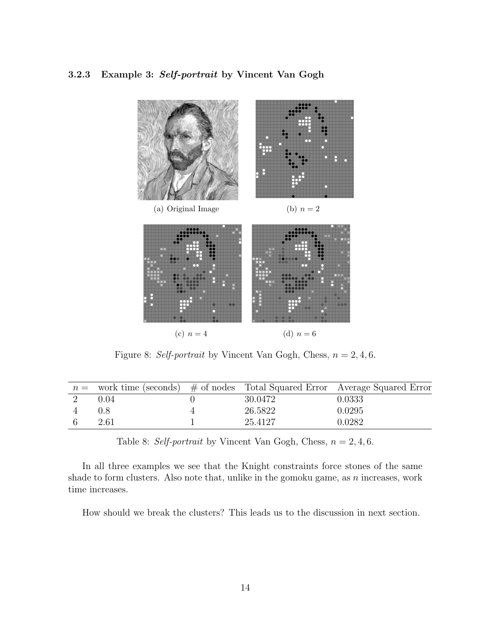#### 3.2.3 Example 3: Self-portrait by Vincent Van Gogh



Figure 8: Self-portrait by Vincent Van Gogh, Chess,  $n = 2, 4, 6$ .

|      |         | $n =$ work time (seconds) # of nodes Total Squared Error Average Squared Error |
|------|---------|--------------------------------------------------------------------------------|
| 0.04 | 30.0472 | 0.0333                                                                         |
| 0.8  | 26.5822 | 0.0295                                                                         |
| 2.61 | 25.4127 | 0.0282                                                                         |

Table 8: Self-portrait by Vincent Van Gogh, Chess,  $n = 2, 4, 6$ .

In all three examples we see that the Knight constraints force stones of the same shade to form clusters. Also note that, unlike in the gomoku game, as  $n$  increases, work time increases.

How should we break the clusters? This leads us to the discussion in next section.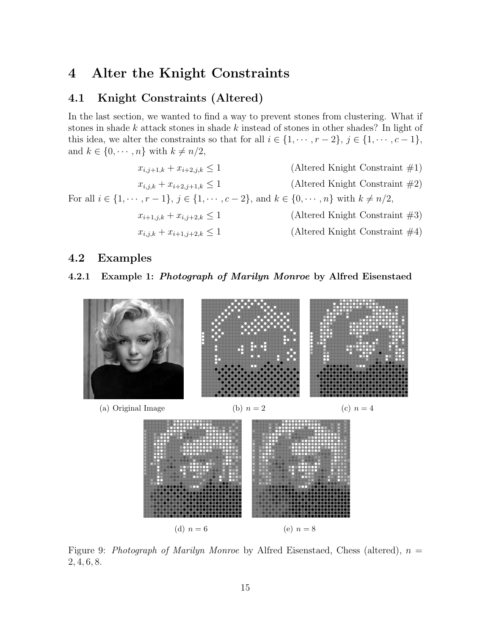## 4 Alter the Knight Constraints

### 4.1 Knight Constraints (Altered)

In the last section, we wanted to find a way to prevent stones from clustering. What if stones in shade  $k$  attack stones in shade  $k$  instead of stones in other shades? In light of this idea, we alter the constraints so that for all  $i \in \{1, \dots, r-2\}, j \in \{1, \dots, c-1\},\$ and  $k \in \{0, \dots, n\}$  with  $k \neq n/2$ ,



### 4.2 Examples

#### 4.2.1 Example 1: Photograph of Marilyn Monroe by Alfred Eisenstaed



Figure 9: Photograph of Marilyn Monroe by Alfred Eisenstaed, Chess (altered),  $n =$ 2, 4, 6, 8.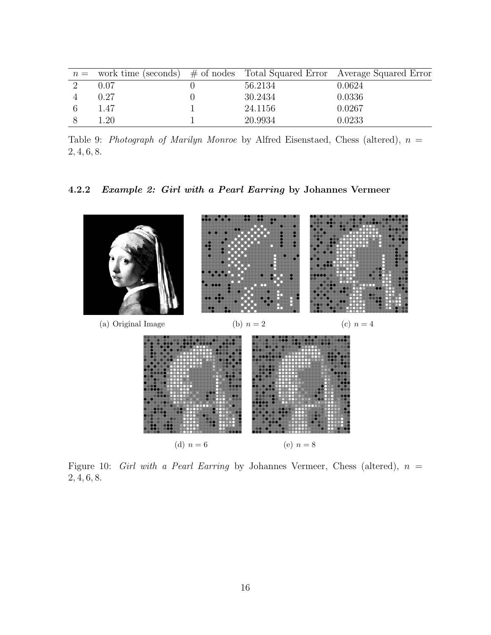|      |         | $n =$ work time (seconds) $\#$ of nodes Total Squared Error Average Squared Error |
|------|---------|-----------------------------------------------------------------------------------|
| 0.07 | 56.2134 | 0.0624                                                                            |
| 0.27 | 30.2434 | 0.0336                                                                            |
| 1.47 | 24.1156 | 0.0267                                                                            |
| .20  | 20.9934 | 0.0233                                                                            |

Table 9: Photograph of Marilyn Monroe by Alfred Eisenstaed, Chess (altered),  $n =$ 2, 4, 6, 8.

### 4.2.2 Example 2: Girl with a Pearl Earring by Johannes Vermeer



Figure 10: Girl with a Pearl Earring by Johannes Vermeer, Chess (altered),  $n =$ 2, 4, 6, 8.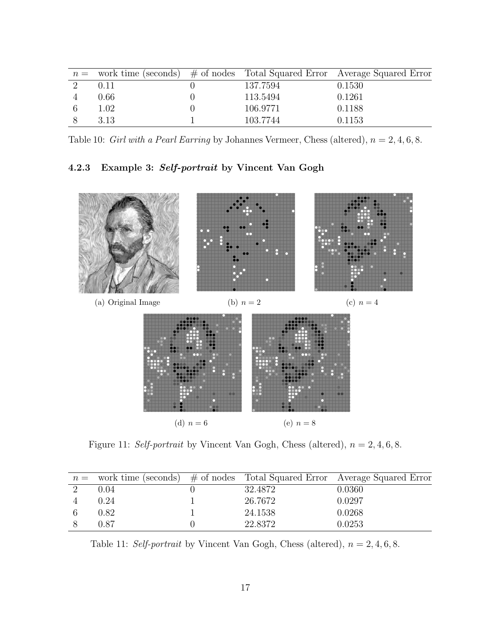| $n =$ work time (seconds) $\#$ of nodes Total Squared Error Average Squared Error |        |
|-----------------------------------------------------------------------------------|--------|
| 137.7594<br>0.11                                                                  | 0.1530 |
| 0.66<br>113.5494                                                                  | 0.1261 |
| 1.02<br>106.9771                                                                  | 0.1188 |
| 3.13<br>103.7744                                                                  | 0.1153 |

Table 10: Girl with a Pearl Earring by Johannes Vermeer, Chess (altered),  $n = 2, 4, 6, 8$ .

### 4.2.3 Example 3: Self-portrait by Vincent Van Gogh



Figure 11: Self-portrait by Vincent Van Gogh, Chess (altered),  $n = 2, 4, 6, 8$ .

|          |         | $n =$ work time (seconds) $\#$ of nodes Total Squared Error Average Squared Error |
|----------|---------|-----------------------------------------------------------------------------------|
| 0.04     | 32.4872 | 0.0360                                                                            |
| $0.24\,$ | 26.7672 | 0.0297                                                                            |
| $0.82\,$ | 24.1538 | 0.0268                                                                            |
| 0.87     | 22.8372 | 0.0253                                                                            |

Table 11: Self-portrait by Vincent Van Gogh, Chess (altered),  $n = 2, 4, 6, 8$ .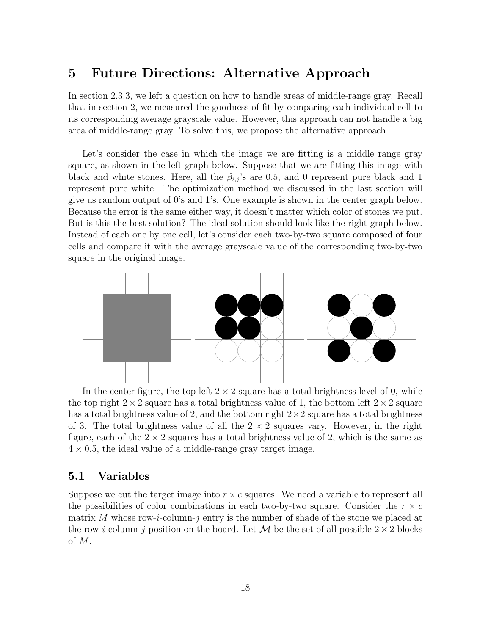### 5 Future Directions: Alternative Approach

In section 2.3.3, we left a question on how to handle areas of middle-range gray. Recall that in section 2, we measured the goodness of fit by comparing each individual cell to its corresponding average grayscale value. However, this approach can not handle a big area of middle-range gray. To solve this, we propose the alternative approach.

Let's consider the case in which the image we are fitting is a middle range gray square, as shown in the left graph below. Suppose that we are fitting this image with black and white stones. Here, all the  $\beta_{i,j}$ 's are 0.5, and 0 represent pure black and 1 represent pure white. The optimization method we discussed in the last section will give us random output of 0's and 1's. One example is shown in the center graph below. Because the error is the same either way, it doesn't matter which color of stones we put. But is this the best solution? The ideal solution should look like the right graph below. Instead of each one by one cell, let's consider each two-by-two square composed of four cells and compare it with the average grayscale value of the corresponding two-by-two square in the original image.



In the center figure, the top left  $2 \times 2$  square has a total brightness level of 0, while the top right  $2 \times 2$  square has a total brightness value of 1, the bottom left  $2 \times 2$  square has a total brightness value of 2, and the bottom right  $2 \times 2$  square has a total brightness of 3. The total brightness value of all the  $2 \times 2$  squares vary. However, in the right figure, each of the  $2 \times 2$  squares has a total brightness value of 2, which is the same as  $4 \times 0.5$ , the ideal value of a middle-range gray target image.

### 5.1 Variables

Suppose we cut the target image into  $r \times c$  squares. We need a variable to represent all the possibilities of color combinations in each two-by-two square. Consider the  $r \times c$ matrix M whose row-i-column-j entry is the number of shade of the stone we placed at the row-i-column-j position on the board. Let M be the set of all possible  $2 \times 2$  blocks of M.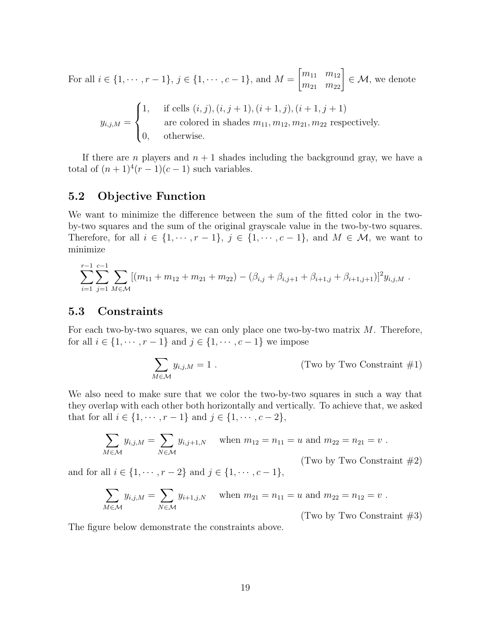For all  $i \in \{1, \dots, r-1\}, j \in \{1, \dots, c-1\},\$  and  $M =$  $\begin{bmatrix} m_{11} & m_{12} \\ m_{21} & m_{22} \end{bmatrix}$  $\in \mathcal{M}$ , we denote

$$
y_{i,j,M} = \begin{cases} 1, & \text{if cells } (i,j), (i,j+1), (i+1,j), (i+1,j+1) \\ & \text{are colored in shades } m_{11}, m_{12}, m_{21}, m_{22} \text{ respectively.} \\ 0, & \text{otherwise.} \end{cases}
$$

If there are n players and  $n + 1$  shades including the background gray, we have a total of  $(n+1)^4(r-1)(c-1)$  such variables.

## 5.2 Objective Function

We want to minimize the difference between the sum of the fitted color in the twoby-two squares and the sum of the original grayscale value in the two-by-two squares. Therefore, for all  $i \in \{1, \dots, r-1\}$ ,  $j \in \{1, \dots, c-1\}$ , and  $M \in \mathcal{M}$ , we want to minimize

$$
\sum_{i=1}^{r-1} \sum_{j=1}^{c-1} \sum_{M \in \mathcal{M}} [(m_{11} + m_{12} + m_{21} + m_{22}) - (\beta_{i,j} + \beta_{i,j+1} + \beta_{i+1,j} + \beta_{i+1,j+1})]^2 y_{i,j,M}.
$$

### 5.3 Constraints

For each two-by-two squares, we can only place one two-by-two matrix M. Therefore, for all  $i \in \{1, \dots, r-1\}$  and  $j \in \{1, \dots, c-1\}$  we impose

$$
\sum_{M \in \mathcal{M}} y_{i,j,M} = 1.
$$
 (Two by Two Constant #1)

We also need to make sure that we color the two-by-two squares in such a way that they overlap with each other both horizontally and vertically. To achieve that, we asked that for all  $i \in \{1, \dots, r-1\}$  and  $j \in \{1, \dots, c-2\}$ ,

$$
\sum_{M \in \mathcal{M}} y_{i,j,M} = \sum_{N \in \mathcal{M}} y_{i,j+1,N} \text{ when } m_{12} = n_{11} = u \text{ and } m_{22} = n_{21} = v.
$$
  
(Two by Two Constant #2)

and for all  $i \in \{1, \dots, r-2\}$  and  $j \in \{1, \dots, c-1\}$ ,

$$
\sum_{M \in \mathcal{M}} y_{i,j,M} = \sum_{N \in \mathcal{M}} y_{i+1,j,N} \quad \text{when } m_{21} = n_{11} = u \text{ and } m_{22} = n_{12} = v.
$$

(Two by Two Constraint  $\#3$ )

The figure below demonstrate the constraints above.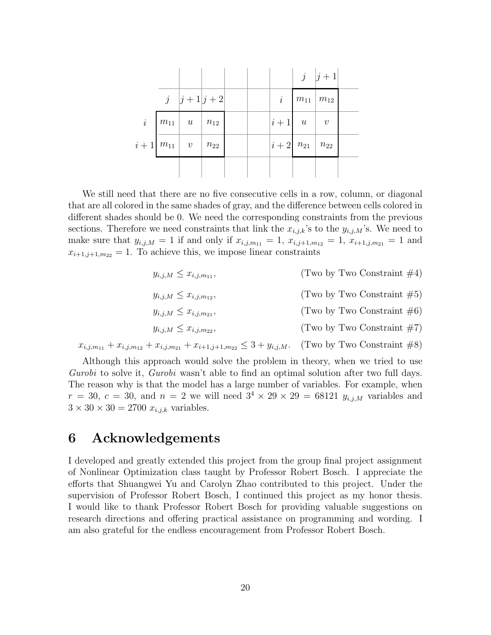|                                               |                                         |  |                                                      |                             | $j \mid j+1$ |  |
|-----------------------------------------------|-----------------------------------------|--|------------------------------------------------------|-----------------------------|--------------|--|
|                                               | $j \quad  j+1 j+2$                      |  |                                                      | $i \mid m_{11} \mid m_{12}$ |              |  |
|                                               | $i \mid m_{11} \mid u \mid n_{12} \mid$ |  | $\begin{vmatrix} i+1 & u \end{vmatrix}$ v            |                             |              |  |
| $i+1 \overline{m_{11}}$ $v \overline{m_{22}}$ |                                         |  | $\left i+2\right $ $n_{21}$ $\left $ $n_{22}\right $ |                             |              |  |
|                                               |                                         |  |                                                      |                             |              |  |

We still need that there are no five consecutive cells in a row, column, or diagonal that are all colored in the same shades of gray, and the difference between cells colored in different shades should be 0. We need the corresponding constraints from the previous sections. Therefore we need constraints that link the  $x_{i,j,k}$ 's to the  $y_{i,j,M}$ 's. We need to make sure that  $y_{i,j,M} = 1$  if and only if  $x_{i,j,m_{11}} = 1$ ,  $x_{i,j+1,m_{12}} = 1$ ,  $x_{i+1,j,m_{21}} = 1$  and  $x_{i+1,j+1,m_{22}} = 1$ . To achieve this, we impose linear constraints

| $y_{i,j,M} \leq x_{i,j,m_{11}},$                                                            | (Two by Two Constraint $\#4$ ) |
|---------------------------------------------------------------------------------------------|--------------------------------|
| $y_{i,j,M} \leq x_{i,j,m_{12}},$                                                            | (Two by Two Constraint $#5$ )  |
| $y_{i,j,M} \leq x_{i,j,m_{21}},$                                                            | (Two by Two Constraint $\#6$ ) |
| $y_{i,j,M} \leq x_{i,j,m_{22}},$                                                            | (Two by Two Constraint $\#7$ ) |
| $x_{i,j,m_{11}} + x_{i,j,m_{12}} + x_{i,j,m_{21}} + x_{i+1,j+1,m_{22}} \leq 3 + y_{i,j,M}.$ | (Two by Two Constraint $#8$ )  |

Although this approach would solve the problem in theory, when we tried to use Gurobi to solve it, Gurobi wasn't able to find an optimal solution after two full days. The reason why is that the model has a large number of variables. For example, when  $r = 30, c = 30, \text{ and } n = 2 \text{ we will need } 3^4 \times 29 \times 29 = 68121 y_{i,j,M}$  variables and

### 6 Acknowledgements

 $3 \times 30 \times 30 = 2700$   $x_{i,j,k}$  variables.

I developed and greatly extended this project from the group final project assignment of Nonlinear Optimization class taught by Professor Robert Bosch. I appreciate the efforts that Shuangwei Yu and Carolyn Zhao contributed to this project. Under the supervision of Professor Robert Bosch, I continued this project as my honor thesis. I would like to thank Professor Robert Bosch for providing valuable suggestions on research directions and offering practical assistance on programming and wording. I am also grateful for the endless encouragement from Professor Robert Bosch.